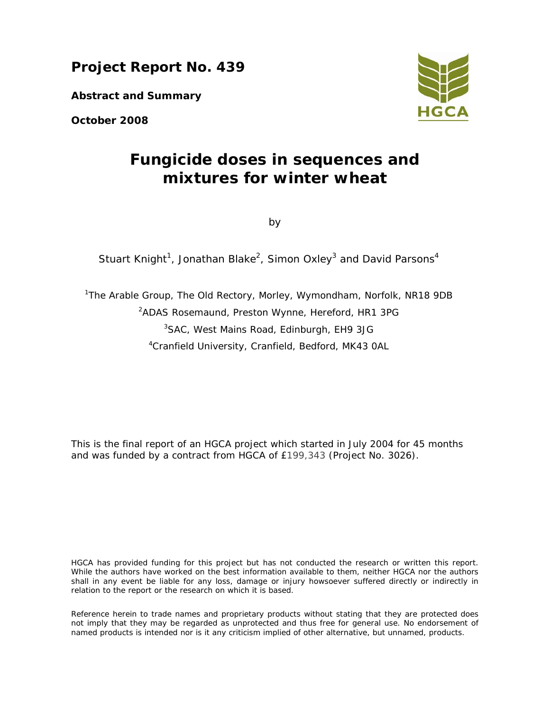**Project Report No. 439** 

**Abstract and Summary** 

**October 2008** 



# **Fungicide doses in sequences and mixtures for winter wheat**

by

Stuart Knight<sup>1</sup>, Jonathan Blake<sup>2</sup>, Simon Oxley<sup>3</sup> and David Parsons<sup>4</sup>

<sup>1</sup>The Arable Group, The Old Rectory, Morley, Wymondham, Norfolk, NR18 9DB <sup>2</sup>ADAS Rosemaund, Preston Wynne, Hereford, HR1 3PG 3 SAC, West Mains Road, Edinburgh, EH9 3JG 4 Cranfield University, Cranfield, Bedford, MK43 0AL

This is the final report of an HGCA project which started in July 2004 for 45 months and was funded by a contract from HGCA of £199,343 (Project No. 3026).

HGCA has provided funding for this project but has not conducted the research or written this report. While the authors have worked on the best information available to them, neither HGCA nor the authors shall in any event be liable for any loss, damage or injury howsoever suffered directly or indirectly in relation to the report or the research on which it is based.

Reference herein to trade names and proprietary products without stating that they are protected does not imply that they may be regarded as unprotected and thus free for general use. No endorsement of named products is intended nor is it any criticism implied of other alternative, but unnamed, products.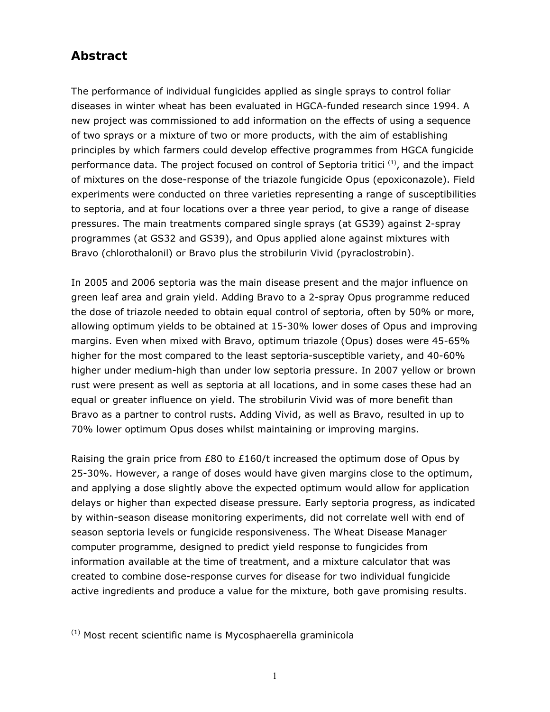# **Abstract**

The performance of individual fungicides applied as single sprays to control foliar diseases in winter wheat has been evaluated in HGCA-funded research since 1994. A new project was commissioned to add information on the effects of using a sequence of two sprays or a mixture of two or more products, with the aim of establishing principles by which farmers could develop effective programmes from HGCA fungicide performance data. The project focused on control of *Septoria tritici* (1), and the impact of mixtures on the dose-response of the triazole fungicide Opus (epoxiconazole). Field experiments were conducted on three varieties representing a range of susceptibilities to septoria, and at four locations over a three year period, to give a range of disease pressures. The main treatments compared single sprays (at GS39) against 2-spray programmes (at GS32 and GS39), and Opus applied alone against mixtures with Bravo (chlorothalonil) or Bravo plus the strobilurin Vivid (pyraclostrobin).

In 2005 and 2006 septoria was the main disease present and the major influence on green leaf area and grain yield. Adding Bravo to a 2-spray Opus programme reduced the dose of triazole needed to obtain equal control of septoria, often by 50% or more, allowing optimum yields to be obtained at 15-30% lower doses of Opus and improving margins. Even when mixed with Bravo, optimum triazole (Opus) doses were 45-65% higher for the most compared to the least septoria-susceptible variety, and 40-60% higher under medium-high than under low septoria pressure. In 2007 yellow or brown rust were present as well as septoria at all locations, and in some cases these had an equal or greater influence on yield. The strobilurin Vivid was of more benefit than Bravo as a partner to control rusts. Adding Vivid, as well as Bravo, resulted in up to 70% lower optimum Opus doses whilst maintaining or improving margins.

Raising the grain price from £80 to £160/t increased the optimum dose of Opus by 25-30%. However, a range of doses would have given margins close to the optimum, and applying a dose slightly above the expected optimum would allow for application delays or higher than expected disease pressure. Early septoria progress, as indicated by within-season disease monitoring experiments, did not correlate well with end of season septoria levels or fungicide responsiveness. The Wheat Disease Manager computer programme, designed to predict yield response to fungicides from information available at the time of treatment, and a mixture calculator that was created to combine dose-response curves for disease for two individual fungicide active ingredients and produce a value for the mixture, both gave promising results.

(1) Most recent scientific name is *Mycosphaerella graminicola*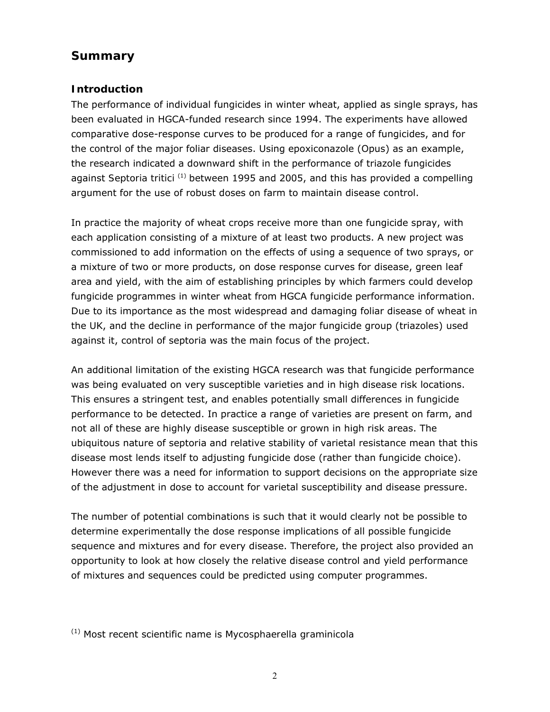## **Summary**

#### **Introduction**

The performance of individual fungicides in winter wheat, applied as single sprays, has been evaluated in HGCA-funded research since 1994. The experiments have allowed comparative dose-response curves to be produced for a range of fungicides, and for the control of the major foliar diseases. Using epoxiconazole (Opus) as an example, the research indicated a downward shift in the performance of triazole fungicides against *Septoria tritici* (1) between 1995 and 2005, and this has provided a compelling argument for the use of robust doses on farm to maintain disease control.

In practice the majority of wheat crops receive more than one fungicide spray, with each application consisting of a mixture of at least two products. A new project was commissioned to add information on the effects of using a sequence of two sprays, or a mixture of two or more products, on dose response curves for disease, green leaf area and yield, with the aim of establishing principles by which farmers could develop fungicide programmes in winter wheat from HGCA fungicide performance information. Due to its importance as the most widespread and damaging foliar disease of wheat in the UK, and the decline in performance of the major fungicide group (triazoles) used against it, control of septoria was the main focus of the project.

An additional limitation of the existing HGCA research was that fungicide performance was being evaluated on very susceptible varieties and in high disease risk locations. This ensures a stringent test, and enables potentially small differences in fungicide performance to be detected. In practice a range of varieties are present on farm, and not all of these are highly disease susceptible or grown in high risk areas. The ubiquitous nature of septoria and relative stability of varietal resistance mean that this disease most lends itself to adjusting fungicide dose (rather than fungicide choice). However there was a need for information to support decisions on the appropriate size of the adjustment in dose to account for varietal susceptibility and disease pressure.

The number of potential combinations is such that it would clearly not be possible to determine experimentally the dose response implications of all possible fungicide sequence and mixtures and for every disease. Therefore, the project also provided an opportunity to look at how closely the relative disease control and yield performance of mixtures and sequences could be predicted using computer programmes.

<sup>(1)</sup> Most recent scientific name is *Mycosphaerella graminicola*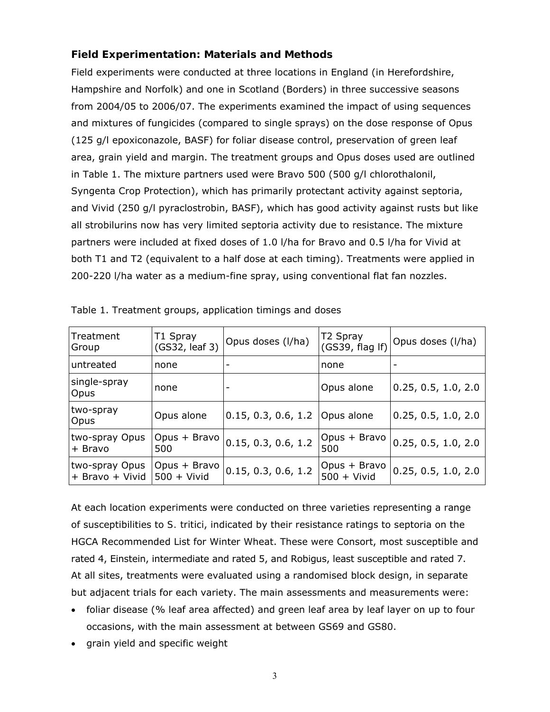## **Field Experimentation: Materials and Methods**

Field experiments were conducted at three locations in England (in Herefordshire, Hampshire and Norfolk) and one in Scotland (Borders) in three successive seasons from 2004/05 to 2006/07. The experiments examined the impact of using sequences and mixtures of fungicides (compared to single sprays) on the dose response of Opus (125 g/l epoxiconazole, BASF) for foliar disease control, preservation of green leaf area, grain yield and margin. The treatment groups and Opus doses used are outlined in Table 1. The mixture partners used were Bravo 500 (500 g/l chlorothalonil, Syngenta Crop Protection), which has primarily protectant activity against septoria, and Vivid (250 g/l pyraclostrobin, BASF), which has good activity against rusts but like all strobilurins now has very limited septoria activity due to resistance. The mixture partners were included at fixed doses of 1.0 l/ha for Bravo and 0.5 l/ha for Vivid at both T1 and T2 (equivalent to a half dose at each timing). Treatments were applied in 200-220 l/ha water as a medium-fine spray, using conventional flat fan nozzles.

| Treatment<br>Group                | T1 Spray<br>(GS32, leaf 3)    | Opus doses (I/ha)        | T <sub>2</sub> Spray<br>(GS39, flag If) | Opus doses (I/ha)        |
|-----------------------------------|-------------------------------|--------------------------|-----------------------------------------|--------------------------|
| untreated                         | none                          | $\overline{\phantom{a}}$ | none                                    | $\overline{\phantom{a}}$ |
| single-spray<br>Opus              | none                          | -                        | Opus alone                              | 0.25, 0.5, 1.0, 2.0      |
| two-spray<br>Opus                 | Opus alone                    | 0.15, 0.3, 0.6, 1.2      | Opus alone                              | 0.25, 0.5, 1.0, 2.0      |
| two-spray Opus<br>+ Bravo         | Opus + Bravo<br>500           | 0.15, 0.3, 0.6, 1.2      | $Opus + Bravo$<br>500                   | 0.25, 0.5, 1.0, 2.0      |
| two-spray Opus<br>+ Bravo + Vivid | Opus + Bravo<br>$500 +$ Vivid | 0.15, 0.3, 0.6, 1.2      | $Opus + Bravo$<br>$500 +$ Vivid         | 0.25, 0.5, 1.0, 2.0      |

| Table 1. Treatment groups, application timings and doses |  |  |
|----------------------------------------------------------|--|--|
|----------------------------------------------------------|--|--|

At each location experiments were conducted on three varieties representing a range of susceptibilities to *S. tritici*, indicated by their resistance ratings to septoria on the HGCA Recommended List for Winter Wheat. These were Consort, most susceptible and rated 4, Einstein, intermediate and rated 5, and Robigus, least susceptible and rated 7. At all sites, treatments were evaluated using a randomised block design, in separate but adjacent trials for each variety. The main assessments and measurements were:

- foliar disease (% leaf area affected) and green leaf area by leaf layer on up to four occasions, with the main assessment at between GS69 and GS80.
- grain yield and specific weight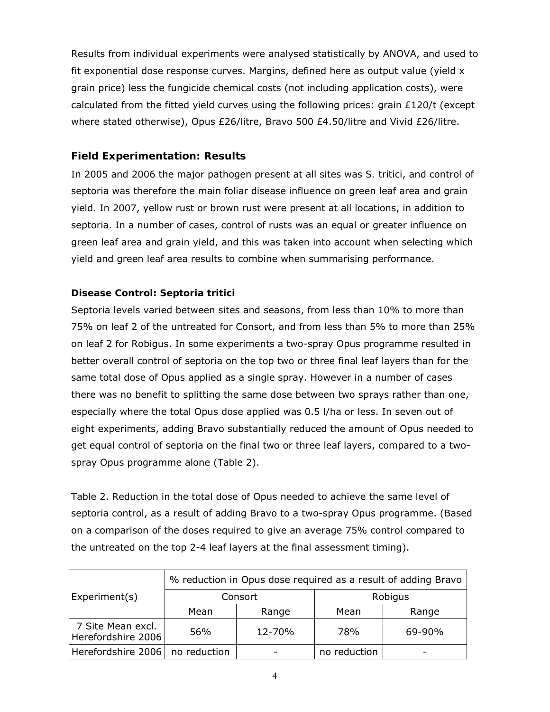Results from individual experiments were analysed statistically by ANOVA, and used to fit exponential dose response curves. Margins, defined here as output value (yield x grain price) less the fungicide chemical costs (not including application costs), were calculated from the fitted yield curves using the following prices: grain £120/t (except where stated otherwise), Opus £26/litre, Bravo 500 £4.50/litre and Vivid £26/litre.

### **Field Experimentation: Results**

In 2005 and 2006 the major pathogen present at all sites was *S. tritici*, and control of septoria was therefore the main foliar disease influence on green leaf area and grain yield. In 2007, yellow rust or brown rust were present at all locations, in addition to septoria. In a number of cases, control of rusts was an equal or greater influence on green leaf area and grain yield, and this was taken into account when selecting which yield and green leaf area results to combine when summarising performance.

#### **Disease Control:** *Septoria tritici*

Septoria levels varied between sites and seasons, from less than 10% to more than 75% on leaf 2 of the untreated for Consort, and from less than 5% to more than 25% on leaf 2 for Robigus. In some experiments a two-spray Opus programme resulted in better overall control of septoria on the top two or three final leaf layers than for the same total dose of Opus applied as a single spray. However in a number of cases there was no benefit to splitting the same dose between two sprays rather than one, especially where the total Opus dose applied was 0.5 l/ha or less. In seven out of eight experiments, adding Bravo substantially reduced the amount of Opus needed to get equal control of septoria on the final two or three leaf layers, compared to a twospray Opus programme alone (Table 2).

Table 2. Reduction in the total dose of Opus needed to achieve the same level of septoria control, as a result of adding Bravo to a two-spray Opus programme. (Based on a comparison of the doses required to give an average 75% control compared to the untreated on the top 2-4 leaf layers at the final assessment timing).

|                                         | % reduction in Opus dose required as a result of adding Bravo |         |              |        |  |  |
|-----------------------------------------|---------------------------------------------------------------|---------|--------------|--------|--|--|
| Experiment(s)                           |                                                               | Consort | Robigus      |        |  |  |
|                                         | Mean                                                          | Range   | Mean         | Range  |  |  |
| 7 Site Mean excl.<br>Herefordshire 2006 | 56%                                                           | 12-70%  | 78%          | 69-90% |  |  |
| Herefordshire 2006   no reduction       |                                                               |         | no reduction |        |  |  |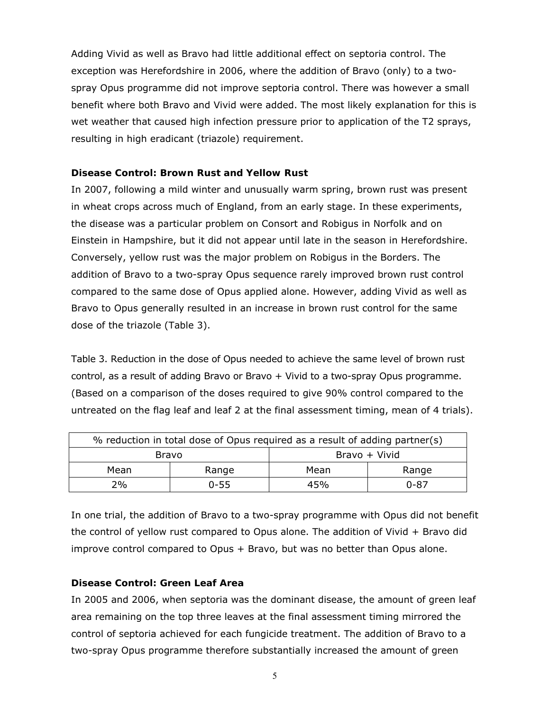Adding Vivid as well as Bravo had little additional effect on septoria control. The exception was Herefordshire in 2006, where the addition of Bravo (only) to a twospray Opus programme did not improve septoria control. There was however a small benefit where both Bravo and Vivid were added. The most likely explanation for this is wet weather that caused high infection pressure prior to application of the T2 sprays, resulting in high eradicant (triazole) requirement.

#### **Disease Control: Brown Rust and Yellow Rust**

In 2007, following a mild winter and unusually warm spring, brown rust was present in wheat crops across much of England, from an early stage. In these experiments, the disease was a particular problem on Consort and Robigus in Norfolk and on Einstein in Hampshire, but it did not appear until late in the season in Herefordshire. Conversely, yellow rust was the major problem on Robigus in the Borders. The addition of Bravo to a two-spray Opus sequence rarely improved brown rust control compared to the same dose of Opus applied alone. However, adding Vivid as well as Bravo to Opus generally resulted in an increase in brown rust control for the same dose of the triazole (Table 3).

Table 3. Reduction in the dose of Opus needed to achieve the same level of brown rust control, as a result of adding Bravo or Bravo + Vivid to a two-spray Opus programme. (Based on a comparison of the doses required to give 90% control compared to the untreated on the flag leaf and leaf 2 at the final assessment timing, mean of 4 trials).

| % reduction in total dose of Opus required as a result of adding partner(s) |          |               |       |  |  |
|-----------------------------------------------------------------------------|----------|---------------|-------|--|--|
| Bravo                                                                       |          | Bravo + Vivid |       |  |  |
| Mean                                                                        | Range    | Mean          | Range |  |  |
| 2%                                                                          | $0 - 55$ | 45%           | 0-87  |  |  |

In one trial, the addition of Bravo to a two-spray programme with Opus did not benefit the control of yellow rust compared to Opus alone. The addition of Vivid + Bravo did improve control compared to Opus + Bravo, but was no better than Opus alone.

#### **Disease Control: Green Leaf Area**

In 2005 and 2006, when septoria was the dominant disease, the amount of green leaf area remaining on the top three leaves at the final assessment timing mirrored the control of septoria achieved for each fungicide treatment. The addition of Bravo to a two-spray Opus programme therefore substantially increased the amount of green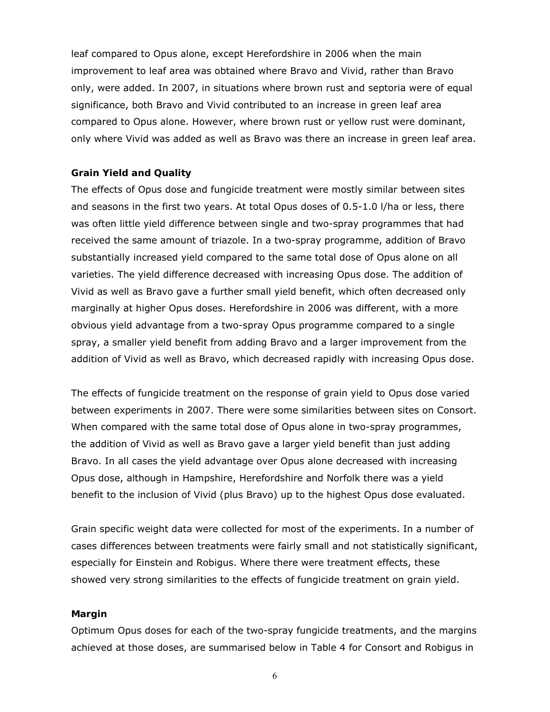leaf compared to Opus alone, except Herefordshire in 2006 when the main improvement to leaf area was obtained where Bravo and Vivid, rather than Bravo only, were added. In 2007, in situations where brown rust and septoria were of equal significance, both Bravo and Vivid contributed to an increase in green leaf area compared to Opus alone. However, where brown rust or yellow rust were dominant, only where Vivid was added as well as Bravo was there an increase in green leaf area.

#### **Grain Yield and Quality**

The effects of Opus dose and fungicide treatment were mostly similar between sites and seasons in the first two years. At total Opus doses of 0.5-1.0 l/ha or less, there was often little yield difference between single and two-spray programmes that had received the same amount of triazole. In a two-spray programme, addition of Bravo substantially increased yield compared to the same total dose of Opus alone on all varieties. The yield difference decreased with increasing Opus dose. The addition of Vivid as well as Bravo gave a further small yield benefit, which often decreased only marginally at higher Opus doses. Herefordshire in 2006 was different, with a more obvious yield advantage from a two-spray Opus programme compared to a single spray, a smaller yield benefit from adding Bravo and a larger improvement from the addition of Vivid as well as Bravo, which decreased rapidly with increasing Opus dose.

The effects of fungicide treatment on the response of grain yield to Opus dose varied between experiments in 2007. There were some similarities between sites on Consort. When compared with the same total dose of Opus alone in two-spray programmes, the addition of Vivid as well as Bravo gave a larger yield benefit than just adding Bravo. In all cases the yield advantage over Opus alone decreased with increasing Opus dose, although in Hampshire, Herefordshire and Norfolk there was a yield benefit to the inclusion of Vivid (plus Bravo) up to the highest Opus dose evaluated.

Grain specific weight data were collected for most of the experiments. In a number of cases differences between treatments were fairly small and not statistically significant, especially for Einstein and Robigus. Where there were treatment effects, these showed very strong similarities to the effects of fungicide treatment on grain yield.

#### **Margin**

Optimum Opus doses for each of the two-spray fungicide treatments, and the margins achieved at those doses, are summarised below in Table 4 for Consort and Robigus in

6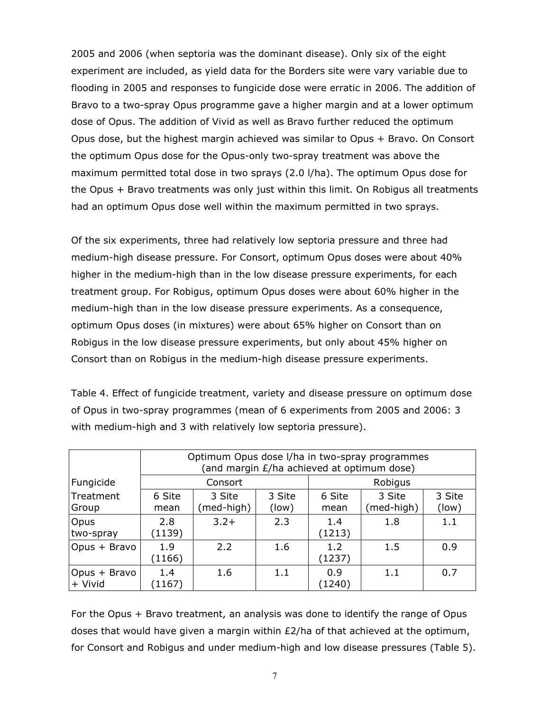2005 and 2006 (when septoria was the dominant disease). Only six of the eight experiment are included, as yield data for the Borders site were vary variable due to flooding in 2005 and responses to fungicide dose were erratic in 2006. The addition of Bravo to a two-spray Opus programme gave a higher margin and at a lower optimum dose of Opus. The addition of Vivid as well as Bravo further reduced the optimum Opus dose, but the highest margin achieved was similar to Opus + Bravo. On Consort the optimum Opus dose for the Opus-only two-spray treatment was above the maximum permitted total dose in two sprays (2.0 l/ha). The optimum Opus dose for the Opus + Bravo treatments was only just within this limit. On Robigus all treatments had an optimum Opus dose well within the maximum permitted in two sprays.

Of the six experiments, three had relatively low septoria pressure and three had medium-high disease pressure. For Consort, optimum Opus doses were about 40% higher in the medium-high than in the low disease pressure experiments, for each treatment group. For Robigus, optimum Opus doses were about 60% higher in the medium-high than in the low disease pressure experiments. As a consequence, optimum Opus doses (in mixtures) were about 65% higher on Consort than on Robigus in the low disease pressure experiments, but only about 45% higher on Consort than on Robigus in the medium-high disease pressure experiments.

Table 4. Effect of fungicide treatment, variety and disease pressure on optimum dose of Opus in two-spray programmes (mean of 6 experiments from 2005 and 2006: 3 with medium-high and 3 with relatively low septoria pressure).

|                           | Optimum Opus dose I/ha in two-spray programmes<br>(and margin £/ha achieved at optimum dose) |                      |                 |                |                      |                 |
|---------------------------|----------------------------------------------------------------------------------------------|----------------------|-----------------|----------------|----------------------|-----------------|
| Fungicide                 | Consort                                                                                      |                      |                 | Robigus        |                      |                 |
| Treatment<br>Group        | 6 Site<br>mean                                                                               | 3 Site<br>(med-high) | 3 Site<br>(low) | 6 Site<br>mean | 3 Site<br>(med-high) | 3 Site<br>(low) |
| Opus<br>two-spray         | 2.8<br>(1139)                                                                                | $3.2+$               | 2.3             | 1.4<br>(1213)  | 1.8                  | 1.1             |
| Opus + Bravo              | 1.9<br>(1166)                                                                                | 2.2                  | 1.6             | 1.2<br>(1237)  | 1.5                  | 0.9             |
| Opus + Bravo<br>$+$ Vivid | 1.4<br>(1167)                                                                                | 1.6                  | 1.1             | 0.9<br>(1240)  | 1.1                  | 0.7             |

For the Opus + Bravo treatment, an analysis was done to identify the range of Opus doses that would have given a margin within £2/ha of that achieved at the optimum, for Consort and Robigus and under medium-high and low disease pressures (Table 5).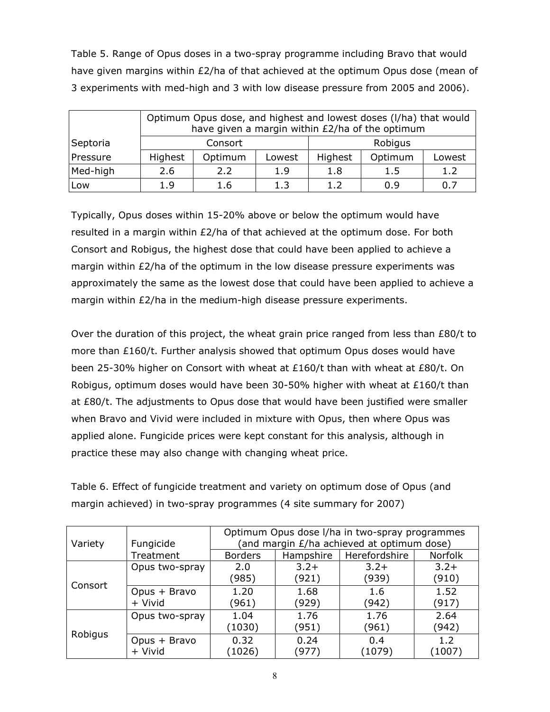Table 5. Range of Opus doses in a two-spray programme including Bravo that would have given margins within £2/ha of that achieved at the optimum Opus dose (mean of 3 experiments with med-high and 3 with low disease pressure from 2005 and 2006).

|          | Optimum Opus dose, and highest and lowest doses (I/ha) that would<br>have given a margin within £2/ha of the optimum |         |        |         |         |        |  |
|----------|----------------------------------------------------------------------------------------------------------------------|---------|--------|---------|---------|--------|--|
| Septoria | Consort                                                                                                              |         |        |         | Robigus |        |  |
| Pressure | Highest                                                                                                              | Optimum | Lowest | Highest | Optimum | Lowest |  |
| Med-high | 2.6                                                                                                                  | 2.2     | 1.9    | 1.8     | 1.5     | 1.2    |  |
| Low      | 1.9                                                                                                                  | 1.6     | 1.3    | 1.2     | 0.9     | 0.7    |  |

Typically, Opus doses within 15-20% above or below the optimum would have resulted in a margin within £2/ha of that achieved at the optimum dose. For both Consort and Robigus, the highest dose that could have been applied to achieve a margin within £2/ha of the optimum in the low disease pressure experiments was approximately the same as the lowest dose that could have been applied to achieve a margin within £2/ha in the medium-high disease pressure experiments.

Over the duration of this project, the wheat grain price ranged from less than £80/t to more than £160/t. Further analysis showed that optimum Opus doses would have been 25-30% higher on Consort with wheat at £160/t than with wheat at £80/t. On Robigus, optimum doses would have been 30-50% higher with wheat at £160/t than at £80/t. The adjustments to Opus dose that would have been justified were smaller when Bravo and Vivid were included in mixture with Opus, then where Opus was applied alone. Fungicide prices were kept constant for this analysis, although in practice these may also change with changing wheat price.

Table 6. Effect of fungicide treatment and variety on optimum dose of Opus (and margin achieved) in two-spray programmes (4 site summary for 2007)

| Variety | Optimum Opus dose I/ha in two-spray programmes<br>(and margin <i>£</i> /ha achieved at optimum dose)<br>Fungicide |                |                 |                 |                            |
|---------|-------------------------------------------------------------------------------------------------------------------|----------------|-----------------|-----------------|----------------------------|
|         | Treatment                                                                                                         | <b>Borders</b> | Hampshire       | Herefordshire   | <b>Norfolk</b>             |
|         | Opus two-spray                                                                                                    | 2.0<br>(985)   | $3.2+$<br>(921) | $3.2+$<br>(939) | $3.2+$<br>(910)            |
| Consort | Opus + Bravo<br>+ Vivid                                                                                           | 1.20<br>(961)  | 1.68<br>(929)   | 1.6<br>(942)    | 1.52<br>(917)              |
|         | Opus two-spray                                                                                                    | 1.04<br>(1030) | 1.76<br>(951)   | 1.76<br>(961)   | 2.64<br>(942)              |
| Robigus | Opus + Bravo<br>+ Vivid                                                                                           | 0.32<br>(1026) | 0.24<br>(977)   | 0.4<br>(1079)   | 1.2 <sub>1</sub><br>(1007) |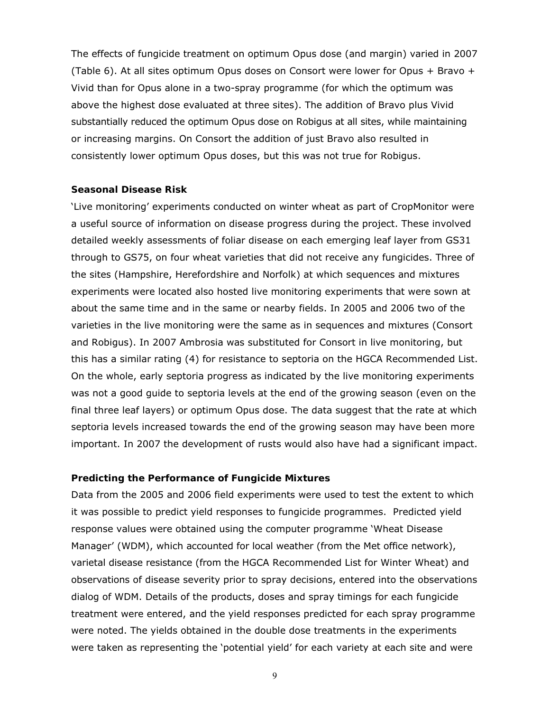The effects of fungicide treatment on optimum Opus dose (and margin) varied in 2007 (Table 6). At all sites optimum Opus doses on Consort were lower for Opus + Bravo + Vivid than for Opus alone in a two-spray programme (for which the optimum was above the highest dose evaluated at three sites). The addition of Bravo plus Vivid substantially reduced the optimum Opus dose on Robigus at all sites, while maintaining or increasing margins. On Consort the addition of just Bravo also resulted in consistently lower optimum Opus doses, but this was not true for Robigus.

#### **Seasonal Disease Risk**

'Live monitoring' experiments conducted on winter wheat as part of CropMonitor were a useful source of information on disease progress during the project. These involved detailed weekly assessments of foliar disease on each emerging leaf layer from GS31 through to GS75, on four wheat varieties that did not receive any fungicides. Three of the sites (Hampshire, Herefordshire and Norfolk) at which sequences and mixtures experiments were located also hosted live monitoring experiments that were sown at about the same time and in the same or nearby fields. In 2005 and 2006 two of the varieties in the live monitoring were the same as in sequences and mixtures (Consort and Robigus). In 2007 Ambrosia was substituted for Consort in live monitoring, but this has a similar rating (4) for resistance to septoria on the HGCA Recommended List. On the whole, early septoria progress as indicated by the live monitoring experiments was not a good guide to septoria levels at the end of the growing season (even on the final three leaf layers) or optimum Opus dose. The data suggest that the rate at which septoria levels increased towards the end of the growing season may have been more important. In 2007 the development of rusts would also have had a significant impact.

#### **Predicting the Performance of Fungicide Mixtures**

Data from the 2005 and 2006 field experiments were used to test the extent to which it was possible to predict yield responses to fungicide programmes. Predicted yield response values were obtained using the computer programme 'Wheat Disease Manager' (WDM), which accounted for local weather (from the Met office network), varietal disease resistance (from the HGCA Recommended List for Winter Wheat) and observations of disease severity prior to spray decisions, entered into the observations dialog of WDM. Details of the products, doses and spray timings for each fungicide treatment were entered, and the yield responses predicted for each spray programme were noted. The yields obtained in the double dose treatments in the experiments were taken as representing the 'potential yield' for each variety at each site and were

9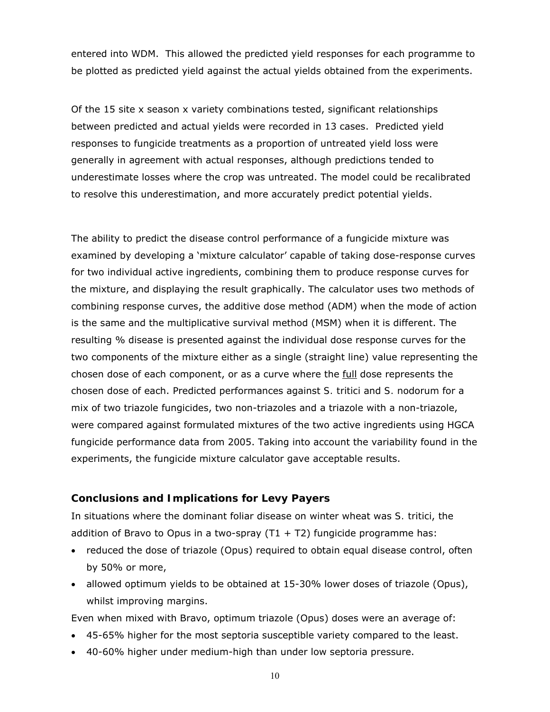entered into WDM. This allowed the predicted yield responses for each programme to be plotted as predicted yield against the actual yields obtained from the experiments.

Of the 15 site x season x variety combinations tested, significant relationships between predicted and actual yields were recorded in 13 cases. Predicted yield responses to fungicide treatments as a proportion of untreated yield loss were generally in agreement with actual responses, although predictions tended to underestimate losses where the crop was untreated. The model could be recalibrated to resolve this underestimation, and more accurately predict potential yields.

The ability to predict the disease control performance of a fungicide mixture was examined by developing a 'mixture calculator' capable of taking dose-response curves for two individual active ingredients, combining them to produce response curves for the mixture, and displaying the result graphically. The calculator uses two methods of combining response curves, the additive dose method (ADM) when the mode of action is the same and the multiplicative survival method (MSM) when it is different. The resulting % disease is presented against the individual dose response curves for the two components of the mixture either as a single (straight line) value representing the chosen dose of each component, or as a curve where the full dose represents the chosen dose of each. Predicted performances against *S. tritici* and *S. nodorum* for a mix of two triazole fungicides, two non-triazoles and a triazole with a non-triazole, were compared against formulated mixtures of the two active ingredients using HGCA fungicide performance data from 2005. Taking into account the variability found in the experiments, the fungicide mixture calculator gave acceptable results.

#### **Conclusions and Implications for Levy Payers**

In situations where the dominant foliar disease on winter wheat was *S. tritici*, the addition of Bravo to Opus in a two-spray  $(T1 + T2)$  fungicide programme has:

- reduced the dose of triazole (Opus) required to obtain equal disease control, often by 50% or more,
- allowed optimum yields to be obtained at 15-30% lower doses of triazole (Opus), whilst improving margins.

Even when mixed with Bravo, optimum triazole (Opus) doses were an average of:

- 45-65% higher for the most septoria susceptible variety compared to the least.
- 40-60% higher under medium-high than under low septoria pressure.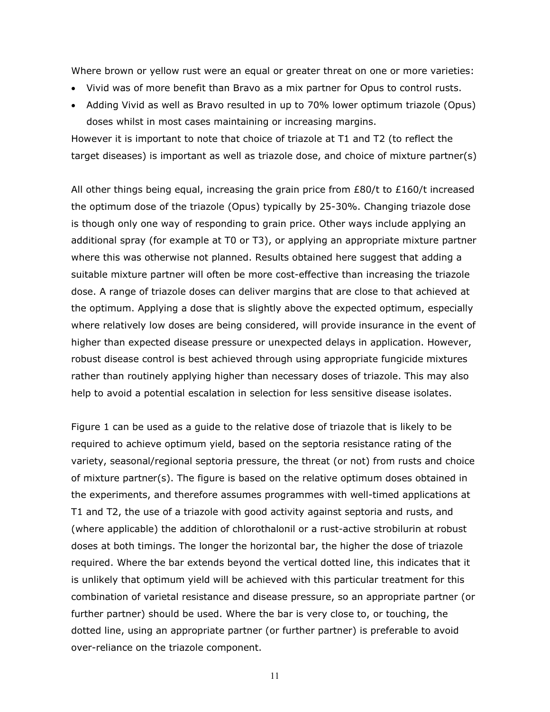Where brown or yellow rust were an equal or greater threat on one or more varieties:

- Vivid was of more benefit than Bravo as a mix partner for Opus to control rusts.
- Adding Vivid as well as Bravo resulted in up to 70% lower optimum triazole (Opus) doses whilst in most cases maintaining or increasing margins.

However it is important to note that choice of triazole at T1 and T2 (to reflect the target diseases) is important as well as triazole dose, and choice of mixture partner(s)

All other things being equal, increasing the grain price from  $E80/t$  to  $E160/t$  increased the optimum dose of the triazole (Opus) typically by 25-30%. Changing triazole dose is though only one way of responding to grain price. Other ways include applying an additional spray (for example at T0 or T3), or applying an appropriate mixture partner where this was otherwise not planned. Results obtained here suggest that adding a suitable mixture partner will often be more cost-effective than increasing the triazole dose. A range of triazole doses can deliver margins that are close to that achieved at the optimum. Applying a dose that is slightly above the expected optimum, especially where relatively low doses are being considered, will provide insurance in the event of higher than expected disease pressure or unexpected delays in application. However, robust disease control is best achieved through using appropriate fungicide mixtures rather than routinely applying higher than necessary doses of triazole. This may also help to avoid a potential escalation in selection for less sensitive disease isolates.

Figure 1 can be used as a guide to the relative dose of triazole that is likely to be required to achieve optimum yield, based on the septoria resistance rating of the variety, seasonal/regional septoria pressure, the threat (or not) from rusts and choice of mixture partner(s). The figure is based on the relative optimum doses obtained in the experiments, and therefore assumes programmes with well-timed applications at T1 and T2, the use of a triazole with good activity against septoria and rusts, and (where applicable) the addition of chlorothalonil or a rust-active strobilurin at robust doses at both timings. The longer the horizontal bar, the higher the dose of triazole required. Where the bar extends beyond the vertical dotted line, this indicates that it is unlikely that optimum yield will be achieved with this particular treatment for this combination of varietal resistance and disease pressure, so an appropriate partner (or further partner) should be used. Where the bar is very close to, or touching, the dotted line, using an appropriate partner (or further partner) is preferable to avoid over-reliance on the triazole component.

11